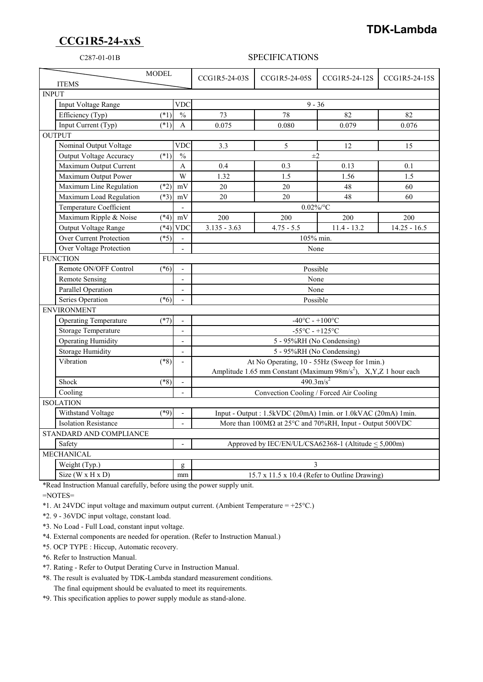## **CCG1R5-24-xxS**

## **TDK-Lambda**

## C287-01-01B SPECIFICATIONS

| <b>ITEMS</b>                |                                                                              | <b>MODEL</b> |                          | CCG1R5-24-03S                                                                    | CCG1R5-24-05S                                        | CCG1R5-24-12S | CCG1R5-24-15S  |
|-----------------------------|------------------------------------------------------------------------------|--------------|--------------------------|----------------------------------------------------------------------------------|------------------------------------------------------|---------------|----------------|
| <b>INPUT</b>                |                                                                              |              |                          |                                                                                  |                                                      |               |                |
|                             | Input Voltage Range<br><b>VDC</b>                                            |              |                          | $9 - 36$                                                                         |                                                      |               |                |
|                             | Efficiency (Typ)                                                             | $(*1)$       | $\frac{0}{0}$            | 73                                                                               | 78                                                   | 82            | 82             |
|                             | Input Current (Typ)                                                          | $(*1)$       | $\mathbf{A}$             | 0.075                                                                            | 0.080                                                | 0.079         | 0.076          |
| <b>OUTPUT</b>               |                                                                              |              |                          |                                                                                  |                                                      |               |                |
|                             | Nominal Output Voltage                                                       |              | <b>VDC</b>               | 3.3                                                                              | 5                                                    | 12            | 15             |
|                             | Output Voltage Accuracy                                                      | $(*1)$       | $\frac{0}{0}$            | $\pm 2$                                                                          |                                                      |               |                |
|                             | Maximum Output Current                                                       |              | $\mathbf{A}$             | 0.4                                                                              | 0.3                                                  | 0.13          | 0.1            |
|                             | Maximum Output Power                                                         |              | W                        | 1.32                                                                             | 1.5                                                  | 1.56          | 1.5            |
|                             | Maximum Line Regulation                                                      | $(*2)$       | mV                       | 20                                                                               | 20                                                   | 48            | 60             |
|                             | Maximum Load Regulation                                                      | $(*3)$       | mV                       | 20                                                                               | 20                                                   | 48            | 60             |
|                             | Temperature Coefficient                                                      |              |                          | $0.02\%$ /°C                                                                     |                                                      |               |                |
|                             | Maximum Ripple & Noise                                                       | $(*4)$       | mV                       | 200                                                                              | 200                                                  | 200           | 200            |
|                             | Output Voltage Range                                                         | $(*4)$       | <b>VDC</b>               | $3.135 - 3.63$                                                                   | $4.75 - 5.5$                                         | $11.4 - 13.2$ | $14.25 - 16.5$ |
|                             | <b>Over Current Protection</b>                                               | $(*5)$       |                          | 105% min.                                                                        |                                                      |               |                |
|                             | Over Voltage Protection                                                      |              |                          | None                                                                             |                                                      |               |                |
| <b>FUNCTION</b>             |                                                                              |              |                          |                                                                                  |                                                      |               |                |
|                             | Remote ON/OFF Control                                                        | $(*6)$       | $\overline{\phantom{a}}$ | Possible                                                                         |                                                      |               |                |
|                             | <b>Remote Sensing</b>                                                        |              | $\overline{\phantom{0}}$ |                                                                                  | None                                                 |               |                |
|                             | Parallel Operation                                                           |              | $\overline{\phantom{0}}$ | None                                                                             |                                                      |               |                |
|                             | Series Operation                                                             | $(*6)$       |                          | Possible                                                                         |                                                      |               |                |
| <b>ENVIRONMENT</b>          |                                                                              |              |                          |                                                                                  |                                                      |               |                |
|                             | <b>Operating Temperature</b><br>$(*7)$<br>$-40^{\circ}$ C - $+100^{\circ}$ C |              |                          |                                                                                  |                                                      |               |                |
|                             | Storage Temperature                                                          |              |                          | $-55^{\circ}$ C - $+125^{\circ}$ C                                               |                                                      |               |                |
|                             | <b>Operating Humidity</b>                                                    |              |                          | 5 - 95%RH (No Condensing)                                                        |                                                      |               |                |
|                             | <b>Storage Humidity</b>                                                      |              | $\overline{a}$           | 5 - 95%RH (No Condensing)                                                        |                                                      |               |                |
|                             | Vibration                                                                    | $(*8)$       | $\overline{\phantom{a}}$ | At No Operating, 10 - 55Hz (Sweep for 1min.)                                     |                                                      |               |                |
|                             |                                                                              |              |                          | Amplitude 1.65 mm Constant (Maximum 98m/s <sup>2</sup> ), X,Y,Z 1 hour each      |                                                      |               |                |
|                             | Shock                                                                        | $(*8)$       |                          | $490.3 \text{m/s}^2$                                                             |                                                      |               |                |
|                             | Cooling                                                                      |              |                          | Convection Cooling / Forced Air Cooling                                          |                                                      |               |                |
| <b>ISOLATION</b>            |                                                                              |              |                          |                                                                                  |                                                      |               |                |
|                             | Withstand Voltage                                                            | $(*9)$       |                          | Input - Output: 1.5kVDC (20mA) 1min. or 1.0kVAC (20mA) 1min.                     |                                                      |               |                |
| <b>Isolation Resistance</b> |                                                                              |              |                          | More than $100M\Omega$ at $25^{\circ}$ C and $70\%$ RH, Input - Output $500$ VDC |                                                      |               |                |
| STANDARD AND COMPLIANCE     |                                                                              |              |                          |                                                                                  |                                                      |               |                |
|                             | Safety                                                                       |              |                          |                                                                                  | Approved by IEC/EN/UL/CSA62368-1 (Altitude < 5,000m) |               |                |
| <b>MECHANICAL</b>           |                                                                              |              |                          |                                                                                  |                                                      |               |                |
|                             | Weight (Typ.)                                                                |              | g                        | 3                                                                                |                                                      |               |                |
|                             | Size ( $W \times H \times D$ )                                               |              | mm                       | 15.7 x 11.5 x 10.4 (Refer to Outline Drawing)                                    |                                                      |               |                |

\*Read Instruction Manual carefully, before using the power supply unit.

=NOTES=

\*1. At 24VDC input voltage and maximum output current. (Ambient Temperature =  $+25^{\circ}$ C.)

\*2. 9 - 36VDC input voltage, constant load.

\*3. No Load - Full Load, constant input voltage.

\*4. External components are needed for operation. (Refer to Instruction Manual.)

\*5. OCP TYPE : Hiccup, Automatic recovery.

\*6. Refer to Instruction Manual.

\*7. Rating - Refer to Output Derating Curve in Instruction Manual.

 \*8. The result is evaluated by TDK-Lambda standard measurement conditions. The final equipment should be evaluated to meet its requirements.

\*9. This specification applies to power supply module as stand-alone.